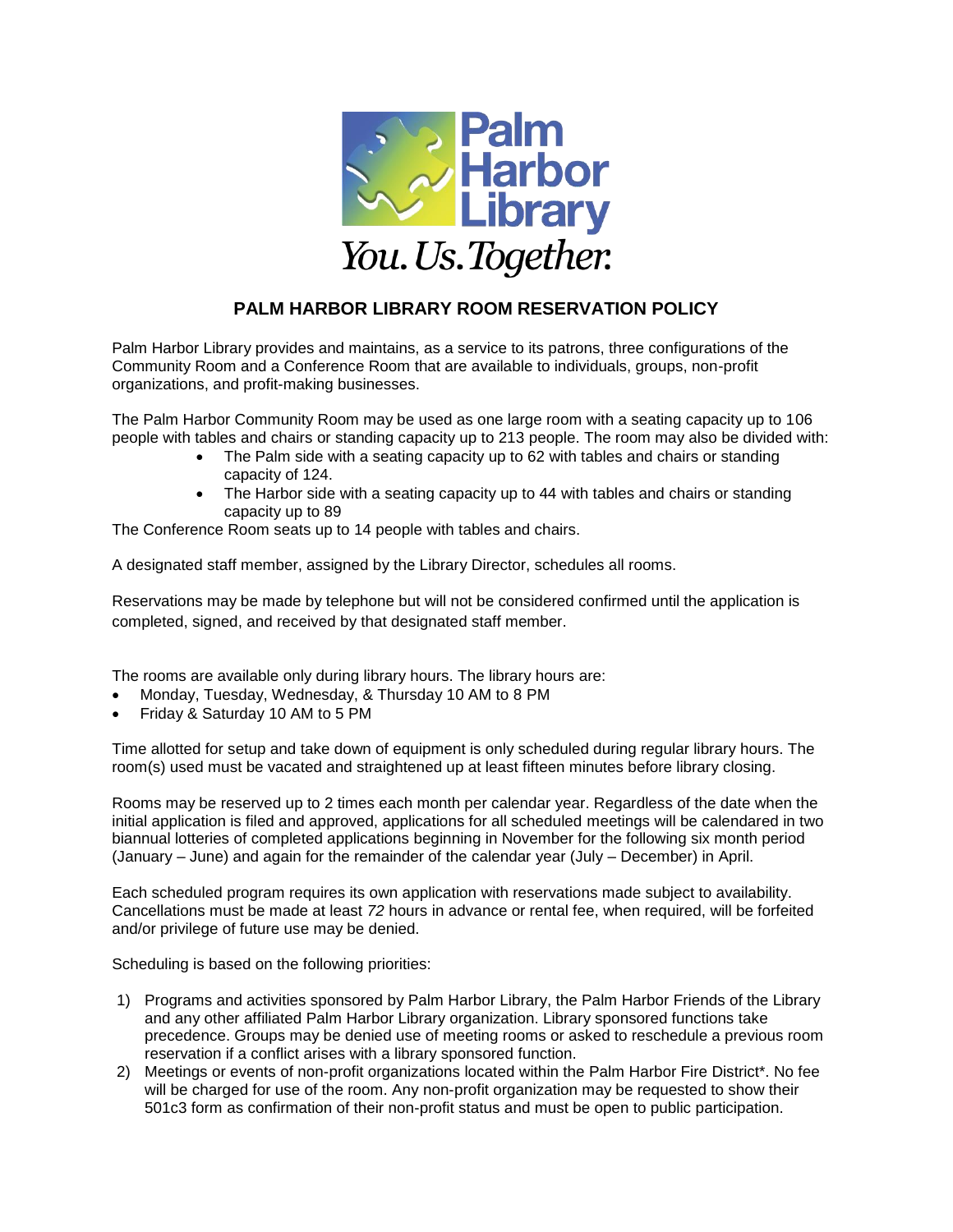

## **PALM HARBOR LIBRARY ROOM RESERVATION POLICY**

Palm Harbor Library provides and maintains, as a service to its patrons, three configurations of the Community Room and a Conference Room that are available to individuals, groups, non-profit organizations, and profit-making businesses.

The Palm Harbor Community Room may be used as one large room with a seating capacity up to 106 people with tables and chairs or standing capacity up to 213 people. The room may also be divided with:

- The Palm side with a seating capacity up to 62 with tables and chairs or standing capacity of 124.
- The Harbor side with a seating capacity up to 44 with tables and chairs or standing capacity up to 89

The Conference Room seats up to 14 people with tables and chairs.

A designated staff member, assigned by the Library Director, schedules all rooms.

Reservations may be made by telephone but will not be considered confirmed until the application is completed, signed, and received by that designated staff member.

The rooms are available only during library hours. The library hours are:

- Monday, Tuesday, Wednesday, & Thursday 10 AM to 8 PM
- Friday & Saturday 10 AM to 5 PM

Time allotted for setup and take down of equipment is only scheduled during regular library hours. The room(s) used must be vacated and straightened up at least fifteen minutes before library closing.

Rooms may be reserved up to 2 times each month per calendar year. Regardless of the date when the initial application is filed and approved, applications for all scheduled meetings will be calendared in two biannual lotteries of completed applications beginning in November for the following six month period (January – June) and again for the remainder of the calendar year (July – December) in April.

Each scheduled program requires its own application with reservations made subject to availability. Cancellations must be made at least *72* hours in advance or rental fee, when required, will be forfeited and/or privilege of future use may be denied.

Scheduling is based on the following priorities:

- 1) Programs and activities sponsored by Palm Harbor Library, the Palm Harbor Friends of the Library and any other affiliated Palm Harbor Library organization. Library sponsored functions take precedence. Groups may be denied use of meeting rooms or asked to reschedule a previous room reservation if a conflict arises with a library sponsored function.
- 2) Meetings or events of non-profit organizations located within the Palm Harbor Fire District\*. No fee will be charged for use of the room. Any non-profit organization may be requested to show their 501c3 form as confirmation of their non-profit status and must be open to public participation.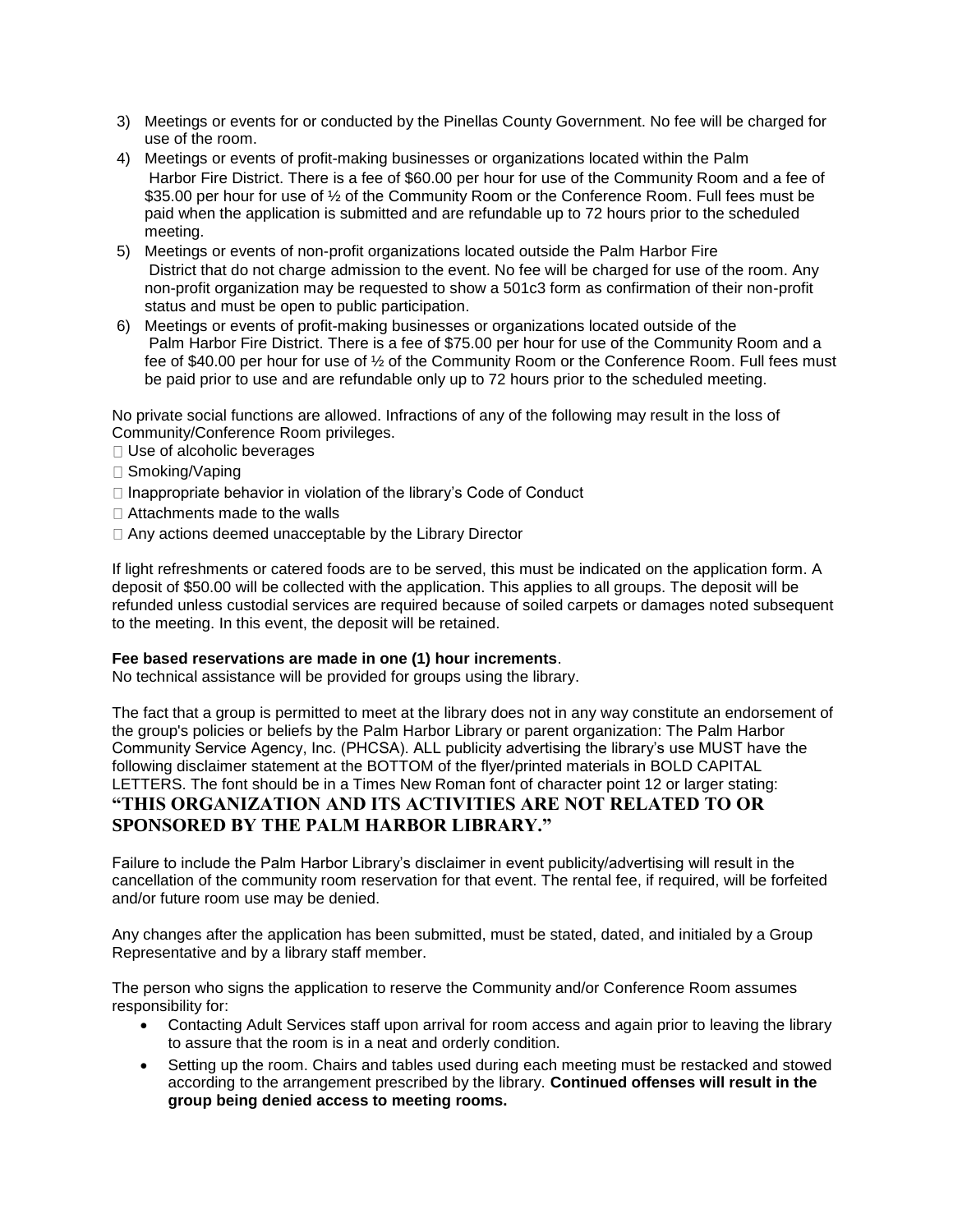- 3) Meetings or events for or conducted by the Pinellas County Government. No fee will be charged for use of the room.
- 4) Meetings or events of profit-making businesses or organizations located within the Palm Harbor Fire District. There is a fee of \$60.00 per hour for use of the Community Room and a fee of \$35.00 per hour for use of  $\frac{1}{2}$  of the Community Room or the Conference Room. Full fees must be paid when the application is submitted and are refundable up to 72 hours prior to the scheduled meeting.
- 5) Meetings or events of non-profit organizations located outside the Palm Harbor Fire District that do not charge admission to the event. No fee will be charged for use of the room. Any non-profit organization may be requested to show a 501c3 form as confirmation of their non-profit status and must be open to public participation.
- 6) Meetings or events of profit-making businesses or organizations located outside of the Palm Harbor Fire District. There is a fee of \$75.00 per hour for use of the Community Room and a fee of \$40.00 per hour for use of ½ of the Community Room or the Conference Room. Full fees must be paid prior to use and are refundable only up to 72 hours prior to the scheduled meeting.

No private social functions are allowed. Infractions of any of the following may result in the loss of Community/Conference Room privileges.

- □ Use of alcoholic beverages
- □ Smoking/Vaping
- $\Box$  Inappropriate behavior in violation of the library's Code of Conduct
- □ Attachments made to the walls
- □ Any actions deemed unacceptable by the Library Director

If light refreshments or catered foods are to be served, this must be indicated on the application form. A deposit of \$50.00 will be collected with the application. This applies to all groups. The deposit will be refunded unless custodial services are required because of soiled carpets or damages noted subsequent to the meeting. In this event, the deposit will be retained.

## **Fee based reservations are made in one (1) hour increments**.

No technical assistance will be provided for groups using the library.

The fact that a group is permitted to meet at the library does not in any way constitute an endorsement of the group's policies or beliefs by the Palm Harbor Library or parent organization: The Palm Harbor Community Service Agency, Inc. (PHCSA). ALL publicity advertising the library's use MUST have the following disclaimer statement at the BOTTOM of the flyer/printed materials in BOLD CAPITAL LETTERS. The font should be in a Times New Roman font of character point 12 or larger stating: **"THIS ORGANIZATION AND ITS ACTIVITIES ARE NOT RELATED TO OR SPONSORED BY THE PALM HARBOR LIBRARY."**

Failure to include the Palm Harbor Library's disclaimer in event publicity/advertising will result in the cancellation of the community room reservation for that event. The rental fee, if required, will be forfeited and/or future room use may be denied.

Any changes after the application has been submitted, must be stated, dated, and initialed by a Group Representative and by a library staff member.

The person who signs the application to reserve the Community and/or Conference Room assumes responsibility for:

- Contacting Adult Services staff upon arrival for room access and again prior to leaving the library to assure that the room is in a neat and orderly condition.
- Setting up the room. Chairs and tables used during each meeting must be restacked and stowed according to the arrangement prescribed by the library. **Continued offenses will result in the group being denied access to meeting rooms.**